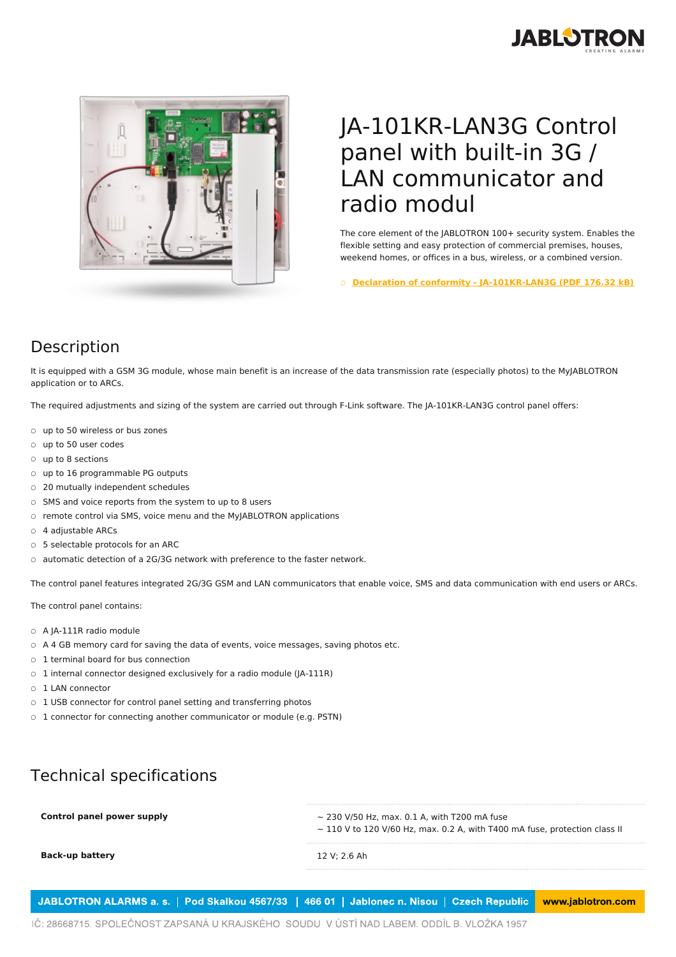



## JA-101KR-LAN3G Control panel with built-in 3G / LAN communicator and radio modul

The core element of the JABLOTRON 100+ security system. Enables the flexible setting and easy protection of commercial premises, houses, weekend homes, or offices in a bus, wireless, or a combined version.

○ **Declaration of conformity - [JA-101KR-LAN3G](https://www.jablotron.com/en/template/product/593/?file=0&jt_id=19836&hash=e5KerE&do=downloadCertificate) (PDF 176.32 kB)**

## Description

It is equipped with a GSM 3G module, whose main benefit is an increase of the data transmission rate (especially photos) to the MyJABLOTRON application or to ARCs.

The required adjustments and sizing of the system are carried out through F-Link software. The JA-101KR-LAN3G control panel offers:

- up to 50 wireless or bus zones
- up to 50 user codes
- up to 8 sections
- up to 16 programmable PG outputs
- 20 mutually independent schedules
- SMS and voice reports from the system to up to 8 users
- remote control via SMS, voice menu and the MyJABLOTRON applications
- 4 adjustable ARCs
- 5 selectable protocols for an ARC
- automatic detection of a 2G/3G network with preference to the faster network.

The control panel features integrated 2G/3G GSM and LAN communicators that enable voice, SMS and data communication with end users or ARCs.

The control panel contains:

- A JA-111R radio module
- A 4 GB memory card for saving the data of events, voice messages, saving photos etc.
- 1 terminal board for bus connection
- 1 internal connector designed exclusively for a radio module (JA-111R)
- 1 LAN connector
- 1 USB connector for control panel setting and transferring photos
- 1 connector for connecting another communicator or module (e.g. PSTN)

## Technical specifications

| Control panel power supply | $\sim$ 230 V/50 Hz, max. 0.1 A, with T200 mA fuse<br>$\sim$ 110 V to 120 V/60 Hz, max. 0.2 A, with T400 mA fuse, protection class II |
|----------------------------|--------------------------------------------------------------------------------------------------------------------------------------|
| <b>Back-up battery</b>     | 12 V: 2.6 Ah                                                                                                                         |

JABLOTRON ALARMS a. s. | Pod Skalkou 4567/33 | 466 01 | Jablonec n. Nisou | Czech Republic www.jablotron.com

IČ: 28668715. SPOLEČNOST ZAPSANÁ U KRAJSKÉHO SOUDU V ÚSTÍ NAD LABEM. ODDÍL B. VLOŽKA 1957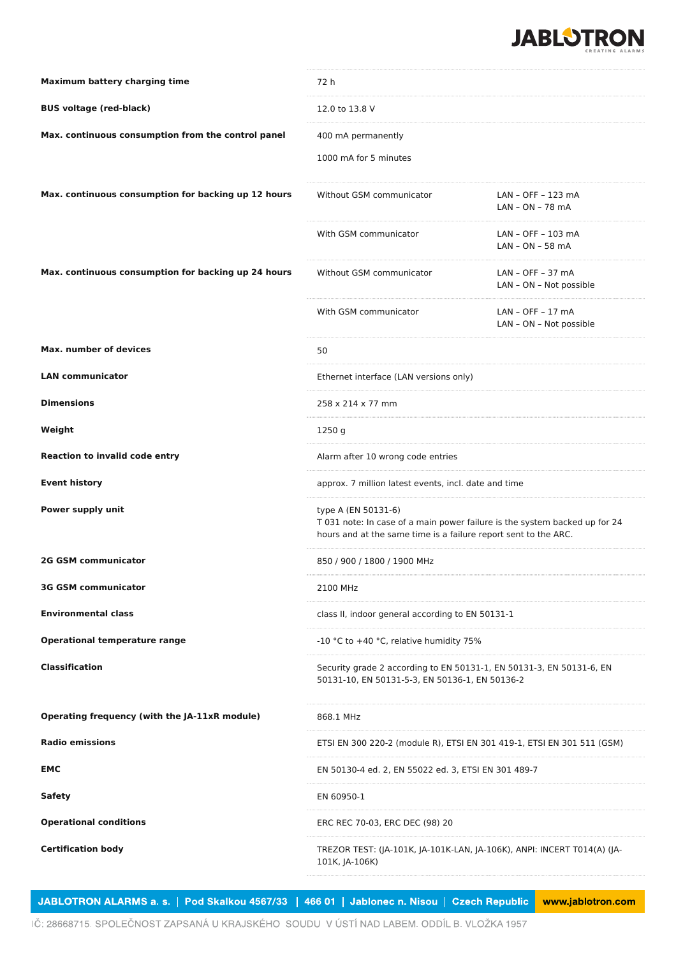

| <b>Maximum battery charging time</b>                | 72 h                                                                                                                                                                 |                                                |
|-----------------------------------------------------|----------------------------------------------------------------------------------------------------------------------------------------------------------------------|------------------------------------------------|
| <b>BUS voltage (red-black)</b>                      | 12.0 to 13.8 V                                                                                                                                                       |                                                |
| Max. continuous consumption from the control panel  | 400 mA permanently                                                                                                                                                   |                                                |
|                                                     | 1000 mA for 5 minutes                                                                                                                                                |                                                |
| Max. continuous consumption for backing up 12 hours | Without GSM communicator                                                                                                                                             | LAN - OFF - 123 mA<br>LAN - ON - 78 mA         |
|                                                     | With GSM communicator                                                                                                                                                | LAN - OFF - 103 mA<br>LAN - ON - 58 mA         |
| Max. continuous consumption for backing up 24 hours | Without GSM communicator                                                                                                                                             | LAN - OFF - 37 mA<br>LAN - ON - Not possible   |
|                                                     | With GSM communicator                                                                                                                                                | $LAN - OFF - 17 mA$<br>LAN - ON - Not possible |
| <b>Max. number of devices</b>                       | 50                                                                                                                                                                   |                                                |
| <b>LAN communicator</b>                             | Ethernet interface (LAN versions only)                                                                                                                               |                                                |
| <b>Dimensions</b>                                   | 258 x 214 x 77 mm                                                                                                                                                    |                                                |
| Weight                                              | 1250 g                                                                                                                                                               |                                                |
| <b>Reaction to invalid code entry</b>               | Alarm after 10 wrong code entries                                                                                                                                    |                                                |
| <b>Event history</b>                                | approx. 7 million latest events, incl. date and time                                                                                                                 |                                                |
| Power supply unit                                   | type A (EN 50131-6)<br>T 031 note: In case of a main power failure is the system backed up for 24<br>hours and at the same time is a failure report sent to the ARC. |                                                |
| <b>2G GSM communicator</b>                          | 850 / 900 / 1800 / 1900 MHz                                                                                                                                          |                                                |
| <b>3G GSM communicator</b>                          | 2100 MHz                                                                                                                                                             |                                                |
| <b>Environmental class</b>                          | class II, indoor general according to EN 50131-1                                                                                                                     |                                                |
| <b>Operational temperature range</b>                | -10 °C to +40 °C, relative humidity 75%                                                                                                                              |                                                |
| <b>Classification</b>                               | Security grade 2 according to EN 50131-1, EN 50131-3, EN 50131-6, EN<br>50131-10, EN 50131-5-3, EN 50136-1, EN 50136-2                                               |                                                |
| Operating frequency (with the JA-11xR module)       | 868.1 MHz                                                                                                                                                            |                                                |
| <b>Radio emissions</b>                              | ETSI EN 300 220-2 (module R), ETSI EN 301 419-1, ETSI EN 301 511 (GSM)                                                                                               |                                                |
| EMC                                                 | EN 50130-4 ed. 2, EN 55022 ed. 3, ETSI EN 301 489-7                                                                                                                  |                                                |
| <b>Safety</b>                                       | EN 60950-1                                                                                                                                                           |                                                |
| <b>Operational conditions</b>                       | ERC REC 70-03, ERC DEC (98) 20                                                                                                                                       |                                                |
| <b>Certification body</b>                           | TREZOR TEST: (JA-101K, JA-101K-LAN, JA-106K), ANPI: INCERT T014(A) (JA-<br>101K, JA-106K)                                                                            |                                                |

JABLOTRON ALARMS a. s. | Pod Skalkou 4567/33 | 466 01 | Jablonec n. Nisou | Czech Republic www.jablotron.com